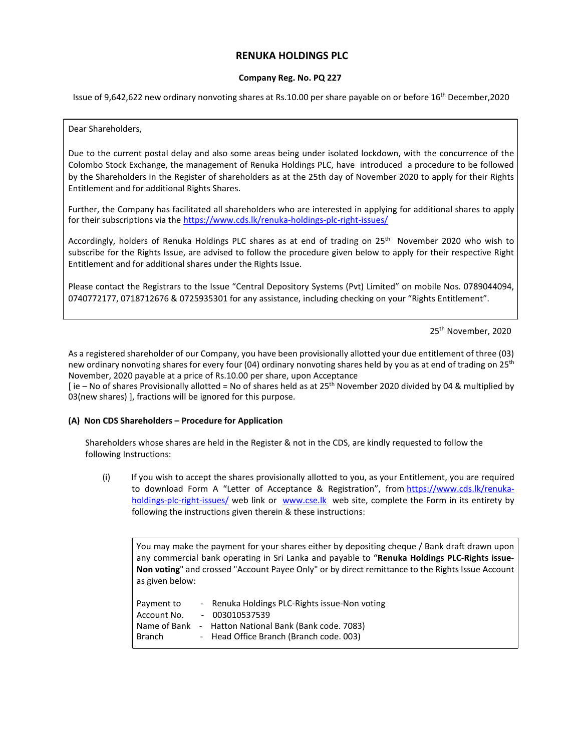# **RENUKA HOLDINGS PLC**

### **Company Reg. No. PQ 227**

Issue of 9,642,622 new ordinary nonvoting shares at Rs.10.00 per share payable on or before 16th December,2020

#### Dear Shareholders,

Due to the current postal delay and also some areas being under isolated lockdown, with the concurrence of the Colombo Stock Exchange, the management of Renuka Holdings PLC, have introduced a procedure to be followed by the Shareholders in the Register of shareholders as at the 25th day of November 2020 to apply for their Rights Entitlement and for additional Rights Shares.

Further, the Company has facilitated all shareholders who are interested in applying for additional shares to apply for their subscriptions via the https://www.cds.lk/renuka-holdings-plc-right-issues/

Accordingly, holders of Renuka Holdings PLC shares as at end of trading on 25th November 2020 who wish to subscribe for the Rights Issue, are advised to follow the procedure given below to apply for their respective Right Entitlement and for additional shares under the Rights Issue.

Please contact the Registrars to the Issue "Central Depository Systems (Pvt) Limited" on mobile Nos. 0789044094, 0740772177, 0718712676 & 0725935301 for any assistance, including checking on your "Rights Entitlement".

25th November, 2020

As a registered shareholder of our Company, you have been provisionally allotted your due entitlement of three (03) new ordinary nonvoting shares for every four (04) ordinary nonvoting shares held by you as at end of trading on 25<sup>th</sup> November, 2020 payable at a price of Rs.10.00 per share, upon Acceptance

[ie – No of shares Provisionally allotted = No of shares held as at 25<sup>th</sup> November 2020 divided by 04 & multiplied by 03(new shares) ], fractions will be ignored for this purpose.

#### **(A) Non CDS Shareholders – Procedure for Application**

Shareholders whose shares are held in the Register & not in the CDS, are kindly requested to follow the following Instructions:

(i) If you wish to accept the shares provisionally allotted to you, as your Entitlement, you are required to download Form A "Letter of Acceptance & Registration", from https://www.cds.lk/renukaholdings-plc-right-issues/ web link or www.cse.lk web site, complete the Form in its entirety by following the instructions given therein & these instructions:

You may make the payment for your shares either by depositing cheque / Bank draft drawn upon any commercial bank operating in Sri Lanka and payable to "**Renuka Holdings PLC-Rights issue-Non voting**" and crossed "Account Payee Only" or by direct remittance to the Rights Issue Account as given below:

| - Renuka Holdings PLC-Rights issue-Non voting |
|-----------------------------------------------|
| $-003010537539$                               |
| - Hatton National Bank (Bank code. 7083)      |
| - Head Office Branch (Branch code. 003)       |
|                                               |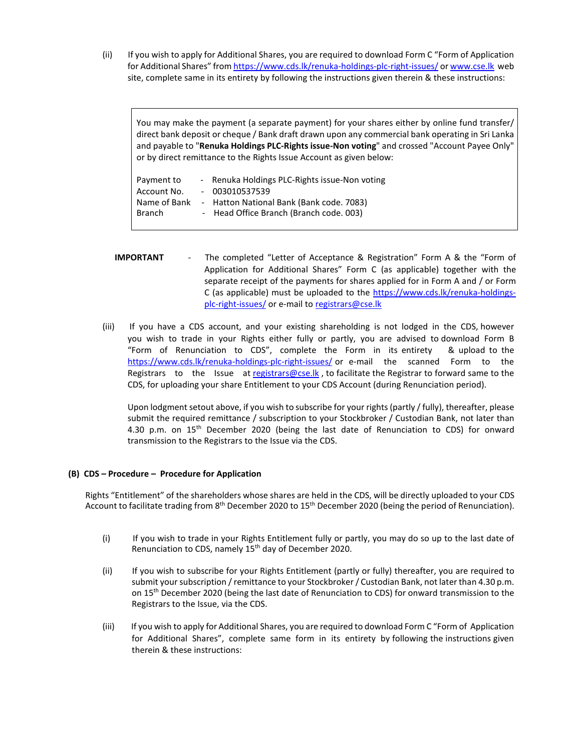(ii) If you wish to apply for Additional Shares, you are required to download Form C "Form of Application for Additional Shares" from https://www.cds.lk/renuka-holdings-plc-right-issues/ or www.cse.lk web site, complete same in its entirety by following the instructions given therein & these instructions:

You may make the payment (a separate payment) for your shares either by online fund transfer/ direct bank deposit or cheque / Bank draft drawn upon any commercial bank operating in Sri Lanka and payable to "**Renuka Holdings PLC-Rights issue-Non voting**" and crossed "Account Payee Only" or by direct remittance to the Rights Issue Account as given below:

| Payment to    | - Renuka Holdings PLC-Rights issue-Non voting |
|---------------|-----------------------------------------------|
| Account No.   | $-003010537539$                               |
| Name of Bank  | - Hatton National Bank (Bank code. 7083)      |
| <b>Branch</b> | - Head Office Branch (Branch code. 003)       |
|               |                                               |

- **IMPORTANT**  The completed "Letter of Acceptance & Registration" Form A & the "Form of Application for Additional Shares" Form C (as applicable) together with the separate receipt of the payments for shares applied for in Form A and / or Form C (as applicable) must be uploaded to the https://www.cds.lk/renuka-holdingsplc-right-issues/ or e-mail to registrars@cse.lk
- (iii) If you have a CDS account, and your existing shareholding is not lodged in the CDS, however you wish to trade in your Rights either fully or partly, you are advised to download Form B "Form of Renunciation to CDS", complete the Form in its entirety & upload to the https://www.cds.lk/renuka-holdings-plc-right-issues/ or e-mail the scanned Form to the Registrars to the Issue at registrars@cse.lk, to facilitate the Registrar to forward same to the CDS, for uploading your share Entitlement to your CDS Account (during Renunciation period).

Upon lodgment setout above, if you wish to subscribe for your rights (partly / fully), thereafter, please submit the required remittance / subscription to your Stockbroker / Custodian Bank, not later than 4.30 p.m. on  $15<sup>th</sup>$  December 2020 (being the last date of Renunciation to CDS) for onward transmission to the Registrars to the Issue via the CDS.

## **(B) CDS – Procedure – Procedure for Application**

Rights "Entitlement" of the shareholders whose shares are held in the CDS, will be directly uploaded to your CDS Account to facilitate trading from 8<sup>th</sup> December 2020 to 15<sup>th</sup> December 2020 (being the period of Renunciation).

- (i) If you wish to trade in your Rights Entitlement fully or partly, you may do so up to the last date of Renunciation to CDS, namely 15<sup>th</sup> day of December 2020.
- (ii) If you wish to subscribe for your Rights Entitlement (partly or fully) thereafter, you are required to submit your subscription / remittance to your Stockbroker / Custodian Bank, not later than 4.30 p.m. on 15<sup>th</sup> December 2020 (being the last date of Renunciation to CDS) for onward transmission to the Registrars to the Issue, via the CDS.
- (iii) If you wish to apply for Additional Shares, you are required to download Form C "Form of Application for Additional Shares", complete same form in its entirety by following the instructions given therein & these instructions: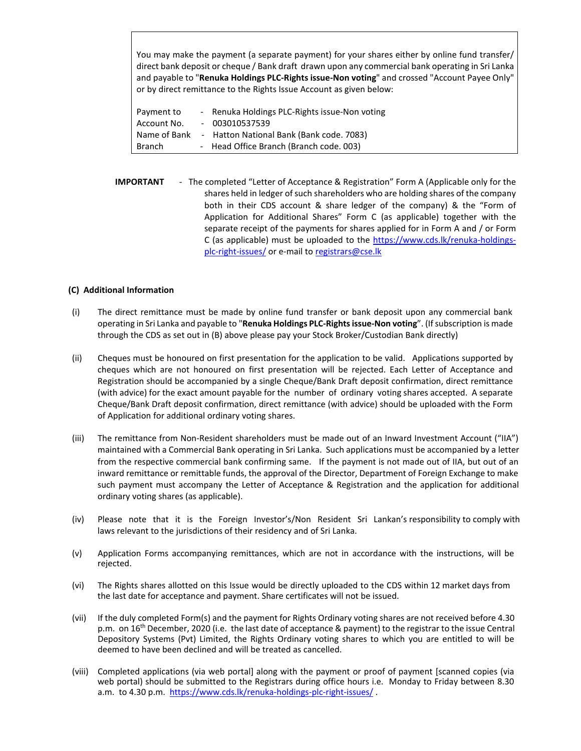You may make the payment (a separate payment) for your shares either by online fund transfer/ direct bank deposit or cheque / Bank draft drawn upon any commercial bank operating in Sri Lanka and payable to "**Renuka Holdings PLC-Rights issue-Non voting**" and crossed "Account Payee Only" or by direct remittance to the Rights Issue Account as given below:

| Payment to    | - Renuka Holdings PLC-Rights issue-Non voting |
|---------------|-----------------------------------------------|
| Account No.   | $-003010537539$                               |
| Name of Bank  | - Hatton National Bank (Bank code. 7083)      |
| <b>Branch</b> | - Head Office Branch (Branch code. 003)       |

**IMPORTANT** - The completed "Letter of Acceptance & Registration" Form A (Applicable only for the shares held in ledger of such shareholders who are holding shares of the company both in their CDS account & share ledger of the company) & the "Form of Application for Additional Shares" Form C (as applicable) together with the separate receipt of the payments for shares applied for in Form A and / or Form C (as applicable) must be uploaded to the https://www.cds.lk/renuka-holdingsplc-right-issues/ or e-mail to registrars@cse.lk

## **(C) Additional Information**

- (i) The direct remittance must be made by online fund transfer or bank deposit upon any commercial bank operating in Sri Lanka and payable to "**Renuka Holdings PLC-Rights issue-Non voting**". (If subscription is made through the CDS as set out in (B) above please pay your Stock Broker/Custodian Bank directly)
- (ii) Cheques must be honoured on first presentation for the application to be valid. Applications supported by cheques which are not honoured on first presentation will be rejected. Each Letter of Acceptance and Registration should be accompanied by a single Cheque/Bank Draft deposit confirmation, direct remittance (with advice) for the exact amount payable for the number of ordinary voting shares accepted. A separate Cheque/Bank Draft deposit confirmation, direct remittance (with advice) should be uploaded with the Form of Application for additional ordinary voting shares.
- (iii) The remittance from Non-Resident shareholders must be made out of an Inward Investment Account ("IIA") maintained with a Commercial Bank operating in Sri Lanka. Such applications must be accompanied by a letter from the respective commercial bank confirming same. If the payment is not made out of IIA, but out of an inward remittance or remittable funds, the approval of the Director, Department of Foreign Exchange to make such payment must accompany the Letter of Acceptance & Registration and the application for additional ordinary voting shares (as applicable).
- (iv) Please note that it is the Foreign Investor's/Non Resident Sri Lankan's responsibility to comply with laws relevant to the jurisdictions of their residency and of Sri Lanka.
- (v) Application Forms accompanying remittances, which are not in accordance with the instructions, will be rejected.
- (vi) The Rights shares allotted on this Issue would be directly uploaded to the CDS within 12 market days from the last date for acceptance and payment. Share certificates will not be issued.
- (vii) If the duly completed Form(s) and the payment for Rights Ordinary voting shares are not received before 4.30 p.m. on 16th December, 2020 (i.e. the last date of acceptance & payment) to the registrar to the issue Central Depository Systems (Pvt) Limited, the Rights Ordinary voting shares to which you are entitled to will be deemed to have been declined and will be treated as cancelled.
- (viii) Completed applications (via web portal] along with the payment or proof of payment [scanned copies (via web portal) should be submitted to the Registrars during office hours i.e. Monday to Friday between 8.30 a.m. to 4.30 p.m. https://www.cds.lk/renuka-holdings-plc-right-issues/.